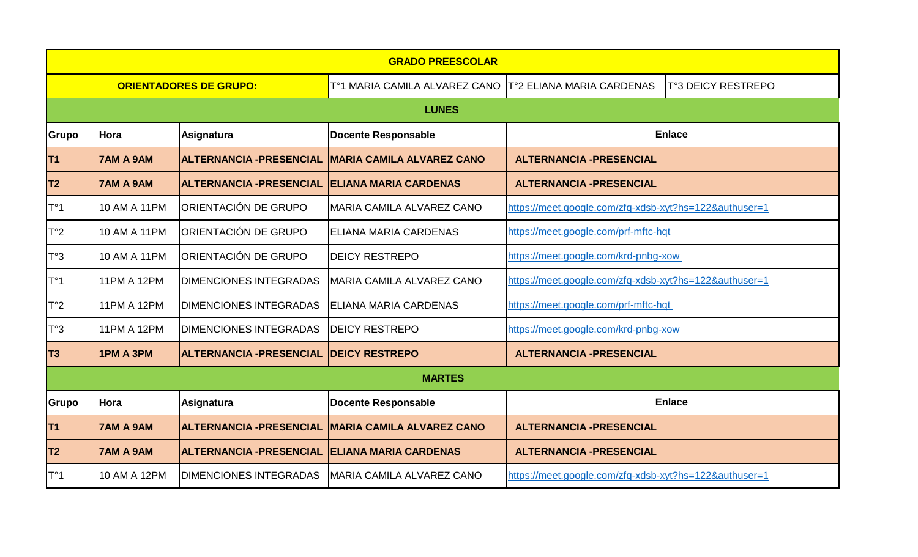| <b>GRADO PREESCOLAR</b>       |                  |                                 |                                  |                                                        |                    |  |  |
|-------------------------------|------------------|---------------------------------|----------------------------------|--------------------------------------------------------|--------------------|--|--|
| <b>ORIENTADORES DE GRUPO:</b> |                  |                                 | T°1 MARIA CAMILA ALVAREZ CANO    | T°2 ELIANA MARIA CARDENAS                              | T°3 DEICY RESTREPO |  |  |
| <b>LUNES</b>                  |                  |                                 |                                  |                                                        |                    |  |  |
| Grupo                         | Hora             | Asignatura                      | <b>Docente Responsable</b>       | <b>Enlace</b>                                          |                    |  |  |
| T <sub>1</sub>                | <b>7AM A 9AM</b> | <b>ALTERNANCIA - PRESENCIAL</b> | <b>MARIA CAMILA ALVAREZ CANO</b> | <b>ALTERNANCIA - PRESENCIAL</b>                        |                    |  |  |
| T <sub>2</sub>                | <b>7AM A 9AM</b> | <b>ALTERNANCIA - PRESENCIAL</b> | <b>ELIANA MARIA CARDENAS</b>     | <b>ALTERNANCIA -PRESENCIAL</b>                         |                    |  |  |
| T°1                           | 10 AM A 11PM     | ORIENTACIÓN DE GRUPO            | MARIA CAMILA ALVAREZ CANO        | https://meet.google.com/zfq-xdsb-xyt?hs=122&authuser=1 |                    |  |  |
| T°2                           | 10 AM A 11PM     | ORIENTACIÓN DE GRUPO            | <b>ELIANA MARIA CARDENAS</b>     | https://meet.google.com/prf-mftc-hqt                   |                    |  |  |
| T°3                           | 10 AM A 11PM     | ORIENTACIÓN DE GRUPO            | <b>DEICY RESTREPO</b>            | https://meet.google.com/krd-pnbg-xow                   |                    |  |  |
| $T^{\circ}1$                  | 11PM A 12PM      | <b>DIMENCIONES INTEGRADAS</b>   | MARIA CAMILA ALVAREZ CANO        | https://meet.google.com/zfq-xdsb-xyt?hs=122&authuser=1 |                    |  |  |
| T°2                           | 11PM A 12PM      | <b>DIMENCIONES INTEGRADAS</b>   | <b>ELIANA MARIA CARDENAS</b>     | https://meet.google.com/prf-mftc-hqt                   |                    |  |  |
| T°3                           | 11PM A 12PM      | <b>DIMENCIONES INTEGRADAS</b>   | <b>DEICY RESTREPO</b>            | https://meet.google.com/krd-pnbg-xow                   |                    |  |  |
| T <sub>3</sub>                | 1PM A 3PM        | <b>ALTERNANCIA -PRESENCIAL</b>  | <b>DEICY RESTREPO</b>            | <b>ALTERNANCIA -PRESENCIAL</b>                         |                    |  |  |
| <b>MARTES</b>                 |                  |                                 |                                  |                                                        |                    |  |  |
| Grupo                         | Hora             | <b>Asignatura</b>               | <b>Docente Responsable</b>       |                                                        | <b>Enlace</b>      |  |  |
| <b>T1</b>                     | 7AM A 9AM        | <b>ALTERNANCIA - PRESENCIAL</b> | <b>MARIA CAMILA ALVAREZ CANO</b> | <b>ALTERNANCIA -PRESENCIAL</b>                         |                    |  |  |
| T <sub>2</sub>                | <b>7AM A 9AM</b> | <b>ALTERNANCIA -PRESENCIAL</b>  | <b>ELIANA MARIA CARDENAS</b>     | <b>ALTERNANCIA -PRESENCIAL</b>                         |                    |  |  |
| $T^{\circ}1$                  | 10 AM A 12PM     | <b>DIMENCIONES INTEGRADAS</b>   | MARIA CAMILA ALVAREZ CANO        | https://meet.google.com/zfq-xdsb-xyt?hs=122&authuser=1 |                    |  |  |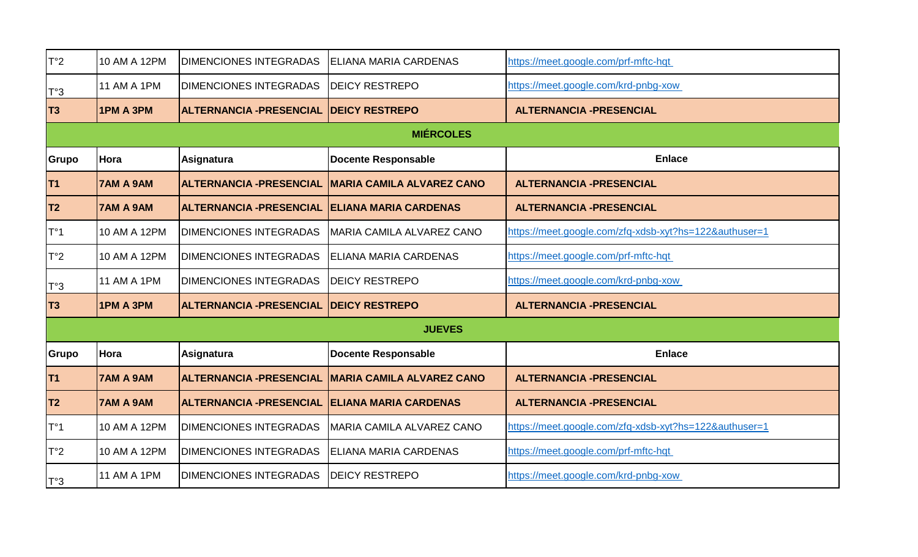| T°2              | 10 AM A 12PM       | <b>DIMENCIONES INTEGRADAS</b>   | IELIANA MARIA CARDENAS           | https://meet.google.com/prf-mftc-hqt                   |  |  |  |
|------------------|--------------------|---------------------------------|----------------------------------|--------------------------------------------------------|--|--|--|
| $T^{\circ}3$     | <b>11 AM A 1PM</b> | <b>DIMENCIONES INTEGRADAS</b>   | <b>IDEICY RESTREPO</b>           | https://meet.google.com/krd-pnbg-xow                   |  |  |  |
| T <sub>3</sub>   | 1PM A 3PM          | <b>ALTERNANCIA - PRESENCIAL</b> | <b>DEICY RESTREPO</b>            | <b>ALTERNANCIA -PRESENCIAL</b>                         |  |  |  |
| <b>MIÉRCOLES</b> |                    |                                 |                                  |                                                        |  |  |  |
| Grupo            | Hora               | Asignatura                      | <b>Docente Responsable</b>       | <b>Enlace</b>                                          |  |  |  |
| T <sub>1</sub>   | <b>7AM A 9AM</b>   | <b>ALTERNANCIA - PRESENCIAL</b> | <b>MARIA CAMILA ALVAREZ CANO</b> | <b>ALTERNANCIA -PRESENCIAL</b>                         |  |  |  |
| T <sub>2</sub>   | <b>7AM A 9AM</b>   | <b>ALTERNANCIA -PRESENCIAL</b>  | <b>ELIANA MARIA CARDENAS</b>     | <b>ALTERNANCIA -PRESENCIAL</b>                         |  |  |  |
| $T^{\circ}1$     | 10 AM A 12PM       | <b>DIMENCIONES INTEGRADAS</b>   | MARIA CAMILA ALVAREZ CANO        | https://meet.google.com/zfq-xdsb-xyt?hs=122&authuser=1 |  |  |  |
| $T^{\circ}2$     | 10 AM A 12PM       | <b>DIMENCIONES INTEGRADAS</b>   | ELIANA MARIA CARDENAS            | https://meet.google.com/prf-mftc-hqt                   |  |  |  |
| T°3              | <b>11 AM A 1PM</b> | <b>DIMENCIONES INTEGRADAS</b>   | <b>DEICY RESTREPO</b>            | https://meet.google.com/krd-pnbg-xow                   |  |  |  |
| T <sub>3</sub>   | 1PM A 3PM          | <b>ALTERNANCIA - PRESENCIAL</b> | <b>DEICY RESTREPO</b>            | <b>ALTERNANCIA -PRESENCIAL</b>                         |  |  |  |
| <b>JUEVES</b>    |                    |                                 |                                  |                                                        |  |  |  |
| Grupo            | Hora               | Asignatura                      | <b>Docente Responsable</b>       | <b>Enlace</b>                                          |  |  |  |
| <b>T1</b>        | <b>7AM A 9AM</b>   | <b>ALTERNANCIA - PRESENCIAL</b> | <b>MARIA CAMILA ALVAREZ CANO</b> | <b>ALTERNANCIA -PRESENCIAL</b>                         |  |  |  |
| T <sub>2</sub>   | <b>7AM A 9AM</b>   | <b>ALTERNANCIA -PRESENCIAL</b>  | <b>ELIANA MARIA CARDENAS</b>     | <b>ALTERNANCIA - PRESENCIAL</b>                        |  |  |  |
| $T^{\circ}1$     | 10 AM A 12PM       | <b>DIMENCIONES INTEGRADAS</b>   | MARIA CAMILA ALVAREZ CANO        | https://meet.google.com/zfq-xdsb-xyt?hs=122&authuser=1 |  |  |  |
| $T^{\circ}2$     | 10 AM A 12PM       | <b>DIMENCIONES INTEGRADAS</b>   | <b>ELIANA MARIA CARDENAS</b>     | https://meet.google.com/prf-mftc-hqt                   |  |  |  |
| T°3              | <b>11 AM A 1PM</b> | <b>DIMENCIONES INTEGRADAS</b>   | <b>DEICY RESTREPO</b>            | https://meet.google.com/krd-pnbg-xow                   |  |  |  |